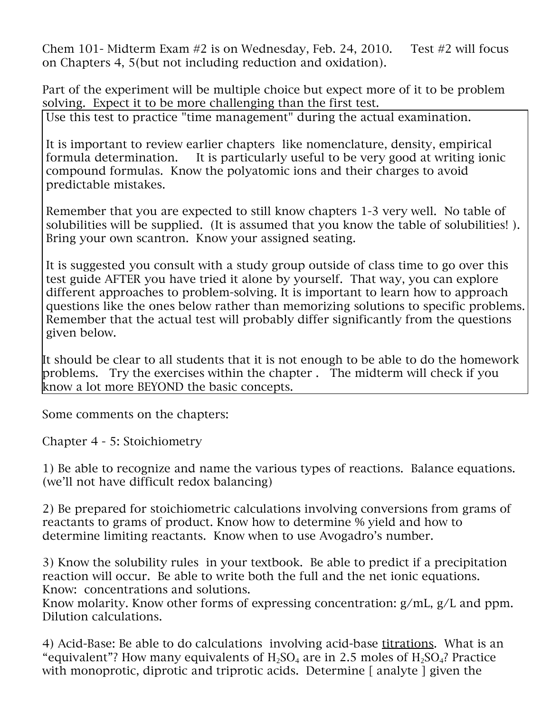Chem 101- Midterm Exam #2 is on Wednesday, Feb. 24, 2010. Test #2 will focus on Chapters 4, 5(but not including reduction and oxidation).

Part of the experiment will be multiple choice but expect more of it to be problem solving. Expect it to be more challenging than the first test. Use this test to practice "time management" during the actual examination.

It is important to review earlier chapters like nomenclature, density, empirical formula determination. It is particularly useful to be very good at writing ionic compound formulas. Know the polyatomic ions and their charges to avoid predictable mistakes.

Remember that you are expected to still know chapters 1-3 very well. No table of solubilities will be supplied. (It is assumed that you know the table of solubilities! ). Bring your own scantron. Know your assigned seating.

It is suggested you consult with a study group outside of class time to go over this test guide AFTER you have tried it alone by yourself. That way, you can explore different approaches to problem-solving. It is important to learn how to approach questions like the ones below rather than memorizing solutions to specific problems. Remember that the actual test will probably differ significantly from the questions given below.

It should be clear to all students that it is not enough to be able to do the homework problems. Try the exercises within the chapter . The midterm will check if you know a lot more BEYOND the basic concepts.

Some comments on the chapters:

Chapter 4 - 5: Stoichiometry

1) Be able to recognize and name the various types of reactions. Balance equations. (we'll not have difficult redox balancing)

2) Be prepared for stoichiometric calculations involving conversions from grams of reactants to grams of product. Know how to determine % yield and how to determine limiting reactants. Know when to use Avogadro's number.

3) Know the solubility rules in your textbook. Be able to predict if a precipitation reaction will occur. Be able to write both the full and the net ionic equations. Know: concentrations and solutions.

Know molarity. Know other forms of expressing concentration: g/mL, g/L and ppm. Dilution calculations.

4) Acid-Base: Be able to do calculations involving acid-base titrations. What is an "equivalent"? How many equivalents of  $H_2SO_4$  are in 2.5 moles of  $H_2SO_4$ ? Practice with monoprotic, diprotic and triprotic acids. Determine [analyte ] given the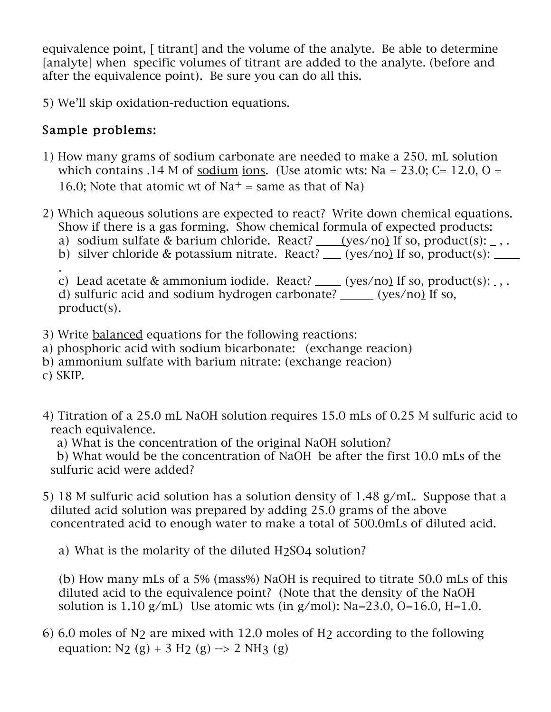equivalence point, [ titrant] and the volume of the analyte. Be able to determine [analyte] when specific volumes of titrant are added to the analyte. (before and after the equivalence point). Be sure you can do all this.

5) We'll skip oxidation-reduction equations.

## Sample problems:

- 1) How many grams of sodium carbonate are needed to make a 250. mL solution which contains .14 M of sodium ions. (Use atomic wts: Na = 23.0; C= 12.0, O = 16.0; Note that atomic wt of  $Na<sup>+</sup>$  = same as that of Na)
- 2) Which aqueous solutions are expected to react? Write down chemical equations. Show if there is a gas forming. Show chemical formula of expected products:
	- a) sodium sulfate & barium chloride. React?  $(yes/no)$  If so, product(s):  $\overline{\phantom{a}}$ , .
	- b) silver chloride & potassium nitrate. React? \_\_(yes/no) If so, product(s): .

c) Lead acetate & ammonium iodide. React?  $(yes/no)$  If so, product(s): , . d) sulfuric acid and sodium hydrogen carbonate? \_\_\_\_\_ (yes/no) If so, product(s).

- 3) Write balanced equations for the following reactions:
- a) phosphoric acid with sodium bicarbonate: (exchange reacion)
- b) ammonium sulfate with barium nitrate: (exchange reacion)
- c) SKIP.
- 4) Titration of a 25.0 mL NaOH solution requires 15.0 mLs of 0.25 M sulfuric acid to reach equivalence.
	- a) What is the concentration of the original NaOH solution?

b) What would be the concentration of NaOH be after the first 10.0 mLs of the sulfuric acid were added?

5) 18 M sulfuric acid solution has a solution density of 1.48 g/mL. Suppose that a diluted acid solution was prepared by adding 25.0 grams of the above concentrated acid to enough water to make a total of 500.0mLs of diluted acid.

a) What is the molarity of the diluted H2SO4 solution?

(b) How many mLs of a 5% (mass%) NaOH is required to titrate 50.0 mLs of this diluted acid to the equivalence point? (Note that the density of the NaOH solution is 1.10 g/mL) Use atomic wts (in g/mol):  $Na=23.0$ ,  $O=16.0$ ,  $H=1.0$ .

6) 6.0 moles of N<sub>2</sub> are mixed with 12.0 moles of H<sub>2</sub> according to the following equation:  $N$ ? (g) + 3 H? (g) --> 2 NH3 (g)